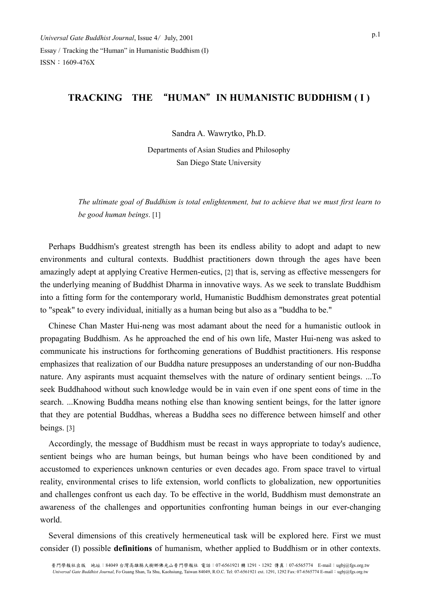## **TRACKING THE** "**HUMAN**"**IN HUMANISTIC BUDDHISM ( I )**

Sandra A. Wawrytko, Ph.D.

Departments of Asian Studies and Philosophy San Diego State University

*The ultimate goal of Buddhism is total enlightenment, but to achieve that we must first learn to be good human beings*. [1]

Perhaps Buddhism's greatest strength has been its endless ability to adopt and adapt to new environments and cultural contexts. Buddhist practitioners down through the ages have been amazingly adept at applying Creative Hermen-eutics, [2] that is, serving as effective messengers for the underlying meaning of Buddhist Dharma in innovative ways. As we seek to translate Buddhism into a fitting form for the contemporary world, Humanistic Buddhism demonstrates great potential to "speak" to every individual, initially as a human being but also as a "buddha to be."

Chinese Chan Master Hui-neng was most adamant about the need for a humanistic outlook in propagating Buddhism. As he approached the end of his own life, Master Hui-neng was asked to communicate his instructions for forthcoming generations of Buddhist practitioners. His response emphasizes that realization of our Buddha nature presupposes an understanding of our non-Buddha nature. Any aspirants must acquaint themselves with the nature of ordinary sentient beings. ...To seek Buddhahood without such knowledge would be in vain even if one spent eons of time in the search. ...Knowing Buddha means nothing else than knowing sentient beings, for the latter ignore that they are potential Buddhas, whereas a Buddha sees no difference between himself and other beings. [3]

Accordingly, the message of Buddhism must be recast in ways appropriate to today's audience, sentient beings who are human beings, but human beings who have been conditioned by and accustomed to experiences unknown centuries or even decades ago. From space travel to virtual reality, environmental crises to life extension, world conflicts to globalization, new opportunities and challenges confront us each day. To be effective in the world, Buddhism must demonstrate an awareness of the challenges and opportunities confronting human beings in our ever-changing world.

Several dimensions of this creatively hermeneutical task will be explored here. First we must consider (I) possible **definitions** of humanism, whether applied to Buddhism or in other contexts.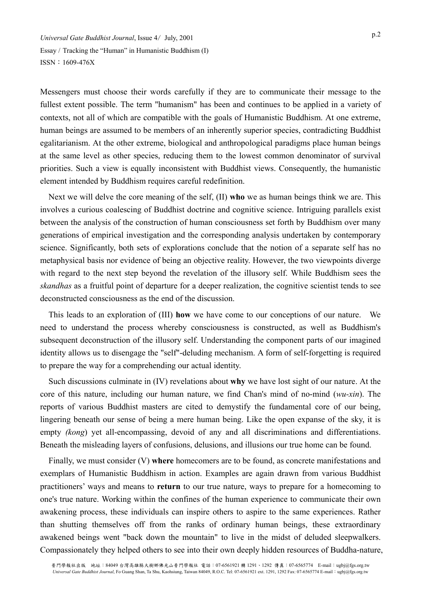Messengers must choose their words carefully if they are to communicate their message to the fullest extent possible. The term "humanism" has been and continues to be applied in a variety of contexts, not all of which are compatible with the goals of Humanistic Buddhism. At one extreme, human beings are assumed to be members of an inherently superior species, contradicting Buddhist egalitarianism. At the other extreme, biological and anthropological paradigms place human beings at the same level as other species, reducing them to the lowest common denominator of survival priorities. Such a view is equally inconsistent with Buddhist views. Consequently, the humanistic element intended by Buddhism requires careful redefinition.

Next we will delve the core meaning of the self, (II) **who** we as human beings think we are. This involves a curious coalescing of Buddhist doctrine and cognitive science. Intriguing parallels exist between the analysis of the construction of human consciousness set forth by Buddhism over many generations of empirical investigation and the corresponding analysis undertaken by contemporary science. Significantly, both sets of explorations conclude that the notion of a separate self has no metaphysical basis nor evidence of being an objective reality. However, the two viewpoints diverge with regard to the next step beyond the revelation of the illusory self. While Buddhism sees the *skandhas* as a fruitful point of departure for a deeper realization, the cognitive scientist tends to see deconstructed consciousness as the end of the discussion.

This leads to an exploration of (III) **how** we have come to our conceptions of our nature. We need to understand the process whereby consciousness is constructed, as well as Buddhism's subsequent deconstruction of the illusory self. Understanding the component parts of our imagined identity allows us to disengage the "self"-deluding mechanism. A form of self-forgetting is required to prepare the way for a comprehending our actual identity.

Such discussions culminate in (IV) revelations about **why** we have lost sight of our nature. At the core of this nature, including our human nature, we find Chan's mind of no-mind (*wu-xin*). The reports of various Buddhist masters are cited to demystify the fundamental core of our being, lingering beneath our sense of being a mere human being. Like the open expanse of the sky, it is empty *(kong)* yet all-encompassing, devoid of any and all discriminations and differentiations. Beneath the misleading layers of confusions, delusions, and illusions our true home can be found.

Finally, we must consider (V) **where** homecomers are to be found, as concrete manifestations and exemplars of Humanistic Buddhism in action. Examples are again drawn from various Buddhist practitioners' ways and means to **return** to our true nature, ways to prepare for a homecoming to one's true nature. Working within the confines of the human experience to communicate their own awakening process, these individuals can inspire others to aspire to the same experiences. Rather than shutting themselves off from the ranks of ordinary human beings, these extraordinary awakened beings went "back down the mountain" to live in the midst of deluded sleepwalkers. Compassionately they helped others to see into their own deeply hidden resources of Buddha-nature,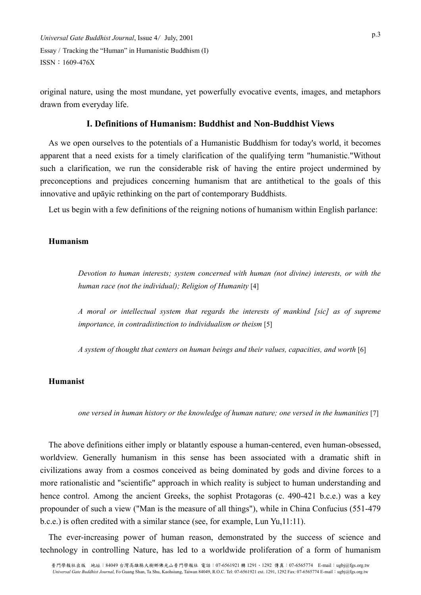original nature, using the most mundane, yet powerfully evocative events, images, and metaphors drawn from everyday life.

## **I. Definitions of Humanism: Buddhist and Non-Buddhist Views**

As we open ourselves to the potentials of a Humanistic Buddhism for today's world, it becomes apparent that a need exists for a timely clarification of the qualifying term "humanistic."Without such a clarification, we run the considerable risk of having the entire project undermined by preconceptions and prejudices concerning humanism that are antithetical to the goals of this innovative and upāyic rethinking on the part of contemporary Buddhists.

Let us begin with a few definitions of the reigning notions of humanism within English parlance:

## **Humanism**

*Devotion to human interests; system concerned with human (not divine) interests, or with the human race (not the individual); Religion of Humanity* [4]

*A moral or intellectual system that regards the interests of mankind [sic] as of supreme importance, in contradistinction to individualism or theism* [5]

*A system of thought that centers on human beings and their values, capacities, and worth* [6]

#### **Humanist**

*one versed in human history or the knowledge of human nature; one versed in the humanities* [7]

The above definitions either imply or blatantly espouse a human-centered, even human-obsessed, worldview. Generally humanism in this sense has been associated with a dramatic shift in civilizations away from a cosmos conceived as being dominated by gods and divine forces to a more rationalistic and "scientific" approach in which reality is subject to human understanding and hence control. Among the ancient Greeks, the sophist Protagoras (c. 490-421 b.c.e.) was a key propounder of such a view ("Man is the measure of all things"), while in China Confucius (551-479 b.c.e.) is often credited with a similar stance (see, for example, Lun Yu,11:11).

The ever-increasing power of human reason, demonstrated by the success of science and technology in controlling Nature, has led to a worldwide proliferation of a form of humanism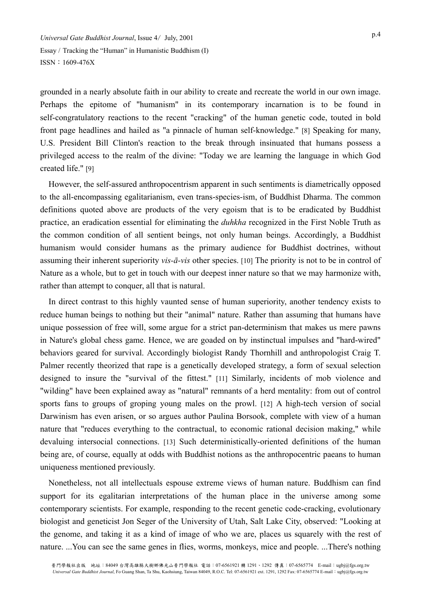grounded in a nearly absolute faith in our ability to create and recreate the world in our own image. Perhaps the epitome of "humanism" in its contemporary incarnation is to be found in self-congratulatory reactions to the recent "cracking" of the human genetic code, touted in bold front page headlines and hailed as "a pinnacle of human self-knowledge." [8] Speaking for many, U.S. President Bill Clinton's reaction to the break through insinuated that humans possess a privileged access to the realm of the divine: "Today we are learning the language in which God created life." [9]

However, the self-assured anthropocentrism apparent in such sentiments is diametrically opposed to the all-encompassing egalitarianism, even trans-species-ism, of Buddhist Dharma. The common definitions quoted above are products of the very egoism that is to be eradicated by Buddhist practice, an eradication essential for eliminating the *duhkha* recognized in the First Noble Truth as the common condition of all sentient beings, not only human beings. Accordingly, a Buddhist humanism would consider humans as the primary audience for Buddhist doctrines, without assuming their inherent superiority *vis-ā-vis* other species. [10] The priority is not to be in control of Nature as a whole, but to get in touch with our deepest inner nature so that we may harmonize with, rather than attempt to conquer, all that is natural.

In direct contrast to this highly vaunted sense of human superiority, another tendency exists to reduce human beings to nothing but their "animal" nature. Rather than assuming that humans have unique possession of free will, some argue for a strict pan-determinism that makes us mere pawns in Nature's global chess game. Hence, we are goaded on by instinctual impulses and "hard-wired" behaviors geared for survival. Accordingly biologist Randy Thornhill and anthropologist Craig T. Palmer recently theorized that rape is a genetically developed strategy, a form of sexual selection designed to insure the "survival of the fittest." [11] Similarly, incidents of mob violence and "wilding" have been explained away as "natural" remnants of a herd mentality: from out of control sports fans to groups of groping young males on the prowl. [12] A high-tech version of social Darwinism has even arisen, or so argues author Paulina Borsook, complete with view of a human nature that "reduces everything to the contractual, to economic rational decision making," while devaluing intersocial connections. [13] Such deterministically-oriented definitions of the human being are, of course, equally at odds with Buddhist notions as the anthropocentric paeans to human uniqueness mentioned previously.

Nonetheless, not all intellectuals espouse extreme views of human nature. Buddhism can find support for its egalitarian interpretations of the human place in the universe among some contemporary scientists. For example, responding to the recent genetic code-cracking, evolutionary biologist and geneticist Jon Seger of the University of Utah, Salt Lake City, observed: "Looking at the genome, and taking it as a kind of image of who we are, places us squarely with the rest of nature. ...You can see the same genes in flies, worms, monkeys, mice and people. ...There's nothing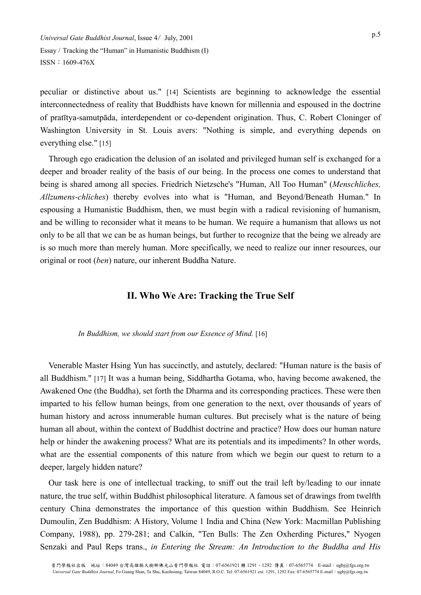peculiar or distinctive about us." [14] Scientists are beginning to acknowledge the essential interconnectedness of reality that Buddhists have known for millennia and espoused in the doctrine of pratītya-samutpāda, interdependent or co-dependent origination. Thus, C. Robert Cloninger of Washington University in St. Louis avers: "Nothing is simple, and everything depends on everything else." [15]

Through ego eradication the delusion of an isolated and privileged human self is exchanged for a deeper and broader reality of the basis of our being. In the process one comes to understand that being is shared among all species. Friedrich Nietzsche's "Human, All Too Human" (*Menschliches, Allzumens-chliches*) thereby evolves into what is "Human, and Beyond/Beneath Human." In espousing a Humanistic Buddhism, then, we must begin with a radical revisioning of humanism, and be willing to reconsider what it means to be human. We require a humanism that allows us not only to be all that we can be as human beings, but further to recognize that the being we already are is so much more than merely human. More specifically, we need to realize our inner resources, our original or root (*ben*) nature, our inherent Buddha Nature.

## **II. Who We Are: Tracking the True Self**

#### In Buddhism, we should start from our Essence of Mind. [16]

Venerable Master Hsing Yun has succinctly, and astutely, declared: "Human nature is the basis of all Buddhism." [17] It was a human being, Siddhartha Gotama, who, having become awakened, the Awakened One (the Buddha), set forth the Dharma and its corresponding practices. These were then imparted to his fellow human beings, from one generation to the next, over thousands of years of human history and across innumerable human cultures. But precisely what is the nature of being human all about, within the context of Buddhist doctrine and practice? How does our human nature help or hinder the awakening process? What are its potentials and its impediments? In other words, what are the essential components of this nature from which we begin our quest to return to a deeper, largely hidden nature?

Our task here is one of intellectual tracking, to sniff out the trail left by/leading to our innate nature, the true self, within Buddhist philosophical literature. A famous set of drawings from twelfth century China demonstrates the importance of this question within Buddhism. See Heinrich Dumoulin, Zen Buddhism: A History, Volume 1 India and China (New York: Macmillan Publishing Company, 1988), pp. 279-281; and Calkin, "Ten Bulls: The Zen Oxherding Pictures," Nyogen Senzaki and Paul Reps trans., *in Entering the Stream: An Introduction to the Buddha and His*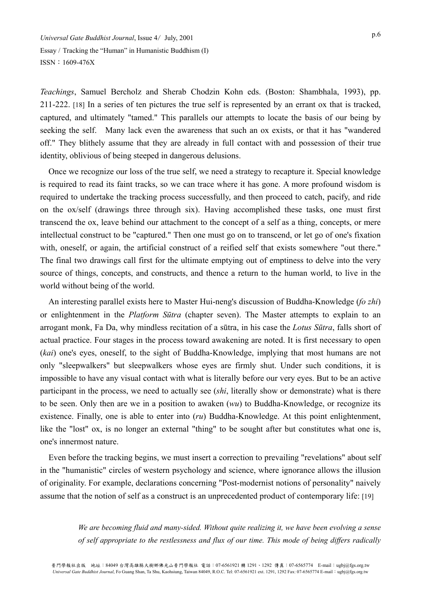*Teachings*, Samuel Bercholz and Sherab Chodzin Kohn eds. (Boston: Shambhala, 1993), pp. 211-222. [18] In a series of ten pictures the true self is represented by an errant ox that is tracked, captured, and ultimately "tamed." This parallels our attempts to locate the basis of our being by seeking the self. Many lack even the awareness that such an ox exists, or that it has "wandered off." They blithely assume that they are already in full contact with and possession of their true identity, oblivious of being steeped in dangerous delusions.

Once we recognize our loss of the true self, we need a strategy to recapture it. Special knowledge is required to read its faint tracks, so we can trace where it has gone. A more profound wisdom is required to undertake the tracking process successfully, and then proceed to catch, pacify, and ride on the ox/self (drawings three through six). Having accomplished these tasks, one must first transcend the ox, leave behind our attachment to the concept of a self as a thing, concepts, or mere intellectual construct to be "captured." Then one must go on to transcend, or let go of one's fixation with, oneself, or again, the artificial construct of a reified self that exists somewhere "out there." The final two drawings call first for the ultimate emptying out of emptiness to delve into the very source of things, concepts, and constructs, and thence a return to the human world, to live in the world without being of the world.

An interesting parallel exists here to Master Hui-neng's discussion of Buddha-Knowledge (*fo zhi*) or enlightenment in the *Platform Sūtra* (chapter seven). The Master attempts to explain to an arrogant monk, Fa Da, why mindless recitation of a sūtra, in his case the *Lotus Sūtra*, falls short of actual practice. Four stages in the process toward awakening are noted. It is first necessary to open (*kai*) one's eyes, oneself, to the sight of Buddha-Knowledge, implying that most humans are not only "sleepwalkers" but sleepwalkers whose eyes are firmly shut. Under such conditions, it is impossible to have any visual contact with what is literally before our very eyes. But to be an active participant in the process, we need to actually see (*shi*, literally show or demonstrate) what is there to be seen. Only then are we in a position to awaken (*wu*) to Buddha-Knowledge, or recognize its existence. Finally, one is able to enter into (*ru*) Buddha-Knowledge. At this point enlightenment, like the "lost" ox, is no longer an external "thing" to be sought after but constitutes what one is, one's innermost nature.

Even before the tracking begins, we must insert a correction to prevailing "revelations" about self in the "humanistic" circles of western psychology and science, where ignorance allows the illusion of originality. For example, declarations concerning "Post-modernist notions of personality" naively assume that the notion of self as a construct is an unprecedented product of contemporary life: [19]

> *We are becoming fluid and many-sided. Without quite realizing it, we have been evolving a sense of self appropriate to the restlessness and flux of our time. This mode of being differs radically*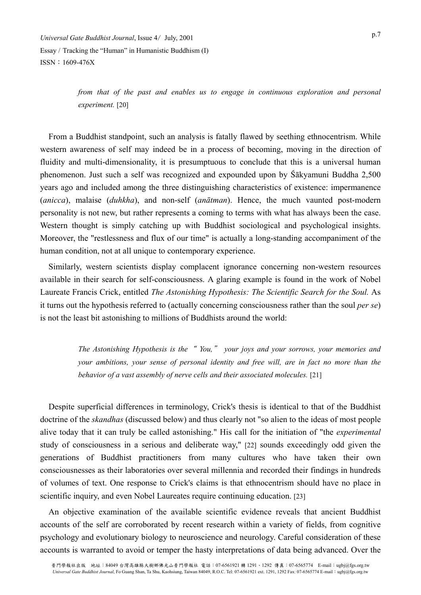*from that of the past and enables us to engage in continuous exploration and personal experiment.* [20]

From a Buddhist standpoint, such an analysis is fatally flawed by seething ethnocentrism. While western awareness of self may indeed be in a process of becoming, moving in the direction of fluidity and multi-dimensionality, it is presumptuous to conclude that this is a universal human phenomenon. Just such a self was recognized and expounded upon by  $\tilde{S}$  akyamuni Buddha 2,500 years ago and included among the three distinguishing characteristics of existence: impermanence (*anicca*), malaise (*duhkha*), and non-self (*anātman*). Hence, the much vaunted post-modern personality is not new, but rather represents a coming to terms with what has always been the case. Western thought is simply catching up with Buddhist sociological and psychological insights. Moreover, the "restlessness and flux of our time" is actually a long-standing accompaniment of the human condition, not at all unique to contemporary experience.

Similarly, western scientists display complacent ignorance concerning non-western resources available in their search for self-consciousness. A glaring example is found in the work of Nobel Laureate Francis Crick, entitled *The Astonishing Hypothesis: The Scientific Search for the Soul.* As it turns out the hypothesis referred to (actually concerning consciousness rather than the soul *per se*) is not the least bit astonishing to millions of Buddhists around the world:

> *The Astonishing Hypothesis is the*" *You,*" *your joys and your sorrows, your memories and your ambitions, your sense of personal identity and free will, are in fact no more than the behavior of a vast assembly of nerve cells and their associated molecules.* [21]

Despite superficial differences in terminology, Crick's thesis is identical to that of the Buddhist doctrine of the *skandhas* (discussed below) and thus clearly not "so alien to the ideas of most people alive today that it can truly be called astonishing." His call for the initiation of "the *experimental* study of consciousness in a serious and deliberate way," [22] sounds exceedingly odd given the generations of Buddhist practitioners from many cultures who have taken their own consciousnesses as their laboratories over several millennia and recorded their findings in hundreds of volumes of text. One response to Crick's claims is that ethnocentrism should have no place in scientific inquiry, and even Nobel Laureates require continuing education. [23]

An objective examination of the available scientific evidence reveals that ancient Buddhist accounts of the self are corroborated by recent research within a variety of fields, from cognitive psychology and evolutionary biology to neuroscience and neurology. Careful consideration of these accounts is warranted to avoid or temper the hasty interpretations of data being advanced. Over the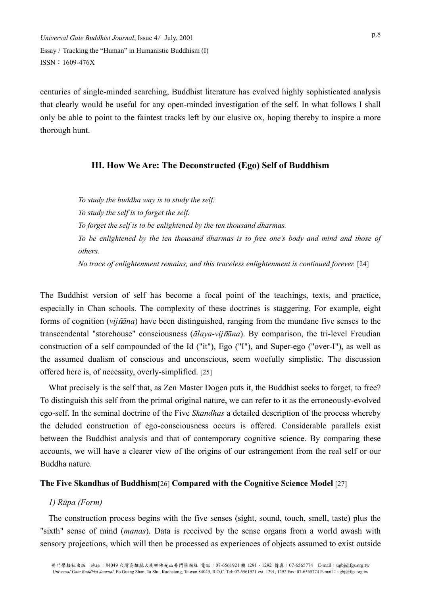centuries of single-minded searching, Buddhist literature has evolved highly sophisticated analysis that clearly would be useful for any open-minded investigation of the self. In what follows I shall only be able to point to the faintest tracks left by our elusive ox, hoping thereby to inspire a more thorough hunt.

#### **III. How We Are: The Deconstructed (Ego) Self of Buddhism**

*To study the buddha way is to study the self. To study the self is to forget the self. To forget the self is to be enlightened by the ten thousand dharmas. To be enlightened by the ten thousand dharmas is to free one's body and mind and those of others. No trace of enlightenment remains, and this traceless enlightenment is continued forever.* [24]

The Buddhist version of self has become a focal point of the teachings, texts, and practice, especially in Chan schools. The complexity of these doctrines is staggering. For example, eight forms of cognition (*vij*b*āna*) have been distinguished, ranging from the mundane five senses to the transcendental "storehouse" consciousness (*ālaya-vij*b*āna*). By comparison, the tri-level Freudian construction of a self compounded of the Id ("it"), Ego ("I"), and Super-ego ("over-I"), as well as the assumed dualism of conscious and unconscious, seem woefully simplistic. The discussion offered here is, of necessity, overly-simplified. [25]

What precisely is the self that, as Zen Master Dogen puts it, the Buddhist seeks to forget, to free? To distinguish this self from the primal original nature, we can refer to it as the erroneously-evolved ego-self. In the seminal doctrine of the Five *Skandhas* a detailed description of the process whereby the deluded construction of ego-consciousness occurs is offered. Considerable parallels exist between the Buddhist analysis and that of contemporary cognitive science. By comparing these accounts, we will have a clearer view of the origins of our estrangement from the real self or our Buddha nature.

#### **The Five Skandhas of Buddhism**[26] **Compared with the Cognitive Science Model** [27]

#### *1) Rūpa (Form)*

The construction process begins with the five senses (sight, sound, touch, smell, taste) plus the "sixth" sense of mind (*manas*). Data is received by the sense organs from a world awash with sensory projections, which will then be processed as experiences of objects assumed to exist outside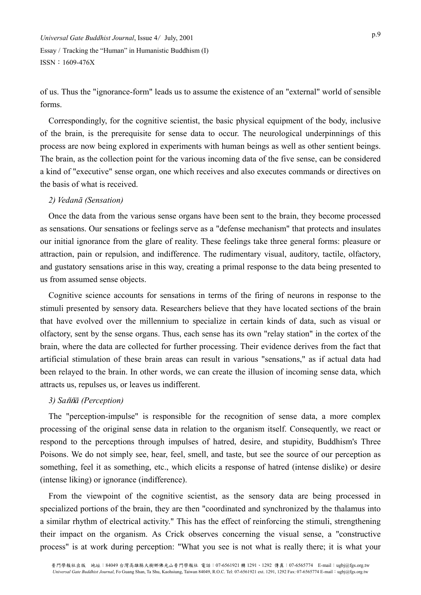of us. Thus the "ignorance-form" leads us to assume the existence of an "external" world of sensible forms.

Correspondingly, for the cognitive scientist, the basic physical equipment of the body, inclusive of the brain, is the prerequisite for sense data to occur. The neurological underpinnings of this process are now being explored in experiments with human beings as well as other sentient beings. The brain, as the collection point for the various incoming data of the five sense, can be considered a kind of "executive" sense organ, one which receives and also executes commands or directives on the basis of what is received.

#### *2) Vedanā (Sensation)*

Once the data from the various sense organs have been sent to the brain, they become processed as sensations. Our sensations or feelings serve as a "defense mechanism" that protects and insulates our initial ignorance from the glare of reality. These feelings take three general forms: pleasure or attraction, pain or repulsion, and indifference. The rudimentary visual, auditory, tactile, olfactory, and gustatory sensations arise in this way, creating a primal response to the data being presented to us from assumed sense objects.

Cognitive science accounts for sensations in terms of the firing of neurons in response to the stimuli presented by sensory data. Researchers believe that they have located sections of the brain that have evolved over the millennium to specialize in certain kinds of data, such as visual or olfactory, sent by the sense organs. Thus, each sense has its own "relay station" in the cortex of the brain, where the data are collected for further processing. Their evidence derives from the fact that artificial stimulation of these brain areas can result in various "sensations," as if actual data had been relayed to the brain. In other words, we can create the illusion of incoming sense data, which attracts us, repulses us, or leaves us indifferent.

#### *3) Sa*bb*ā (Perception)*

The "perception-impulse" is responsible for the recognition of sense data, a more complex processing of the original sense data in relation to the organism itself. Consequently, we react or respond to the perceptions through impulses of hatred, desire, and stupidity, Buddhism's Three Poisons. We do not simply see, hear, feel, smell, and taste, but see the source of our perception as something, feel it as something, etc., which elicits a response of hatred (intense dislike) or desire (intense liking) or ignorance (indifference).

From the viewpoint of the cognitive scientist, as the sensory data are being processed in specialized portions of the brain, they are then "coordinated and synchronized by the thalamus into a similar rhythm of electrical activity." This has the effect of reinforcing the stimuli, strengthening their impact on the organism. As Crick observes concerning the visual sense, a "constructive process" is at work during perception: "What you see is not what is really there; it is what your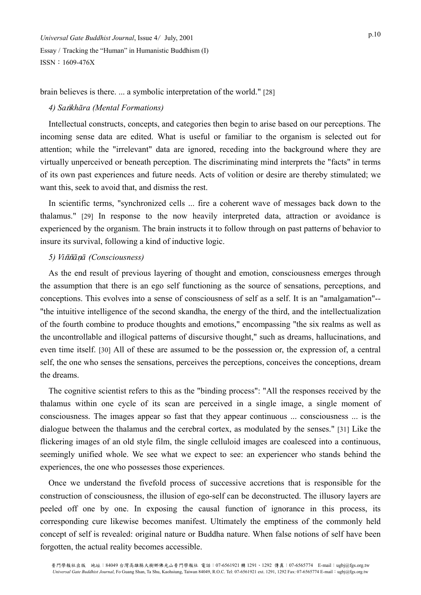brain believes is there. ... a symbolic interpretation of the world." [28]

## *4)* Sankhāra (Mental Formations)

Intellectual constructs, concepts, and categories then begin to arise based on our perceptions. The incoming sense data are edited. What is useful or familiar to the organism is selected out for attention; while the "irrelevant" data are ignored, receding into the background where they are virtually unperceived or beneath perception. The discriminating mind interprets the "facts" in terms of its own past experiences and future needs. Acts of volition or desire are thereby stimulated; we want this, seek to avoid that, and dismiss the rest.

In scientific terms, "synchronized cells ... fire a coherent wave of messages back down to the thalamus." [29] In response to the now heavily interpreted data, attraction or avoidance is experienced by the organism. The brain instructs it to follow through on past patterns of behavior to insure its survival, following a kind of inductive logic.

#### *5) Vi*bb*ā*n*ā (Consciousness)*

As the end result of previous layering of thought and emotion, consciousness emerges through the assumption that there is an ego self functioning as the source of sensations, perceptions, and conceptions. This evolves into a sense of consciousness of self as a self. It is an "amalgamation"-- "the intuitive intelligence of the second skandha, the energy of the third, and the intellectualization of the fourth combine to produce thoughts and emotions," encompassing "the six realms as well as the uncontrollable and illogical patterns of discursive thought," such as dreams, hallucinations, and even time itself. [30] All of these are assumed to be the possession or, the expression of, a central self, the one who senses the sensations, perceives the perceptions, conceives the conceptions, dream the dreams.

The cognitive scientist refers to this as the "binding process": "All the responses received by the thalamus within one cycle of its scan are perceived in a single image, a single moment of consciousness. The images appear so fast that they appear continuous ... consciousness ... is the dialogue between the thalamus and the cerebral cortex, as modulated by the senses." [31] Like the flickering images of an old style film, the single celluloid images are coalesced into a continuous, seemingly unified whole. We see what we expect to see: an experiencer who stands behind the experiences, the one who possesses those experiences.

Once we understand the fivefold process of successive accretions that is responsible for the construction of consciousness, the illusion of ego-self can be deconstructed. The illusory layers are peeled off one by one. In exposing the causal function of ignorance in this process, its corresponding cure likewise becomes manifest. Ultimately the emptiness of the commonly held concept of self is revealed: original nature or Buddha nature. When false notions of self have been forgotten, the actual reality becomes accessible.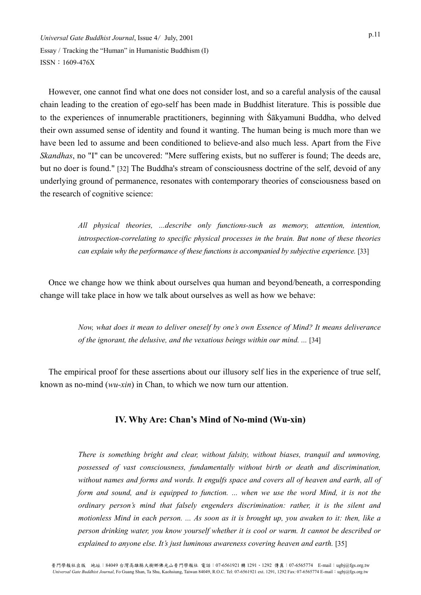However, one cannot find what one does not consider lost, and so a careful analysis of the causal chain leading to the creation of ego-self has been made in Buddhist literature. This is possible due to the experiences of innumerable practitioners, beginning with Śākyamuni Buddha, who delved their own assumed sense of identity and found it wanting. The human being is much more than we have been led to assume and been conditioned to believe-and also much less. Apart from the Five *Skandhas*, no "I" can be uncovered: "Mere suffering exists, but no sufferer is found; The deeds are, but no doer is found." [32] The Buddha's stream of consciousness doctrine of the self, devoid of any underlying ground of permanence, resonates with contemporary theories of consciousness based on the research of cognitive science:

> *All physical theories, ...describe only functions-such as memory, attention, intention, introspection-correlating to specific physical processes in the brain. But none of these theories can explain why the performance of these functions is accompanied by subjective experience.* [33]

Once we change how we think about ourselves qua human and beyond/beneath, a corresponding change will take place in how we talk about ourselves as well as how we behave:

> *Now, what does it mean to deliver oneself by one's own Essence of Mind? It means deliverance of the ignorant, the delusive, and the vexatious beings within our mind. ...* [34]

The empirical proof for these assertions about our illusory self lies in the experience of true self, known as no-mind (*wu-xin*) in Chan, to which we now turn our attention.

## **IV. Why Are: Chan's Mind of No-mind (Wu-xin)**

*There is something bright and clear, without falsity, without biases, tranquil and unmoving, possessed of vast consciousness, fundamentally without birth or death and discrimination, without names and forms and words. It engulfs space and covers all of heaven and earth, all of form and sound, and is equipped to function. ... when we use the word Mind, it is not the ordinary person's mind that falsely engenders discrimination: rather, it is the silent and motionless Mind in each person. ... As soon as it is brought up, you awaken to it: then, like a person drinking water, you know yourself whether it is cool or warm. It cannot be described or explained to anyone else. It's just luminous awareness covering heaven and earth.* [35]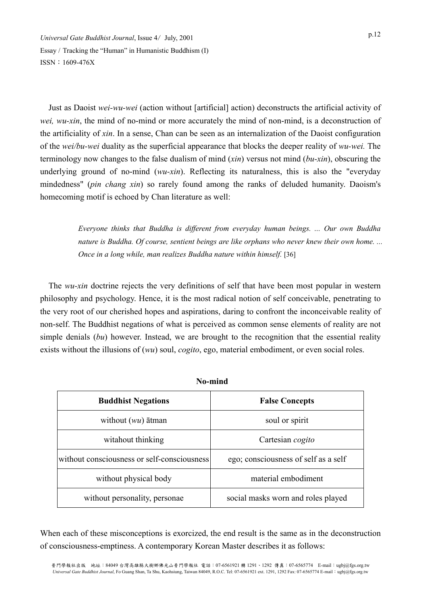Just as Daoist *wei-wu-wei* (action without [artificial] action) deconstructs the artificial activity of *wei, wu-xin*, the mind of no-mind or more accurately the mind of non-mind, is a deconstruction of the artificiality of *xin*. In a sense, Chan can be seen as an internalization of the Daoist configuration of the *wei/bu-wei* duality as the superficial appearance that blocks the deeper reality of *wu-wei.* The terminology now changes to the false dualism of mind (*xin*) versus not mind (*bu-xin*), obscuring the underlying ground of no-mind (*wu-xin*). Reflecting its naturalness, this is also the "everyday mindedness" (*pin chang xin*) so rarely found among the ranks of deluded humanity. Daoism's homecoming motif is echoed by Chan literature as well:

> *Everyone thinks that Buddha is different from everyday human beings. ... Our own Buddha nature is Buddha. Of course, sentient beings are like orphans who never knew their own home. ... Once in a long while, man realizes Buddha nature within himself.* [36]

The *wu-xin* doctrine rejects the very definitions of self that have been most popular in western philosophy and psychology. Hence, it is the most radical notion of self conceivable, penetrating to the very root of our cherished hopes and aspirations, daring to confront the inconceivable reality of non-self. The Buddhist negations of what is perceived as common sense elements of reality are not simple denials (*bu*) however. Instead, we are brought to the recognition that the essential reality exists without the illusions of (*wu*) soul, *cogito*, ego, material embodiment, or even social roles.

| 170-1111110                                 |                                      |
|---------------------------------------------|--------------------------------------|
| <b>Buddhist Negations</b>                   | <b>False Concepts</b>                |
| without $(wu)$ atman                        | soul or spirit                       |
| witahout thinking                           | Cartesian cogito                     |
| without consciousness or self-consciousness | ego; consciousness of self as a self |
| without physical body                       | material embodiment                  |
| without personality, personae               | social masks worn and roles played   |

**No-mind** 

When each of these misconceptions is exorcized, the end result is the same as in the deconstruction of consciousness-emptiness. A contemporary Korean Master describes it as follows: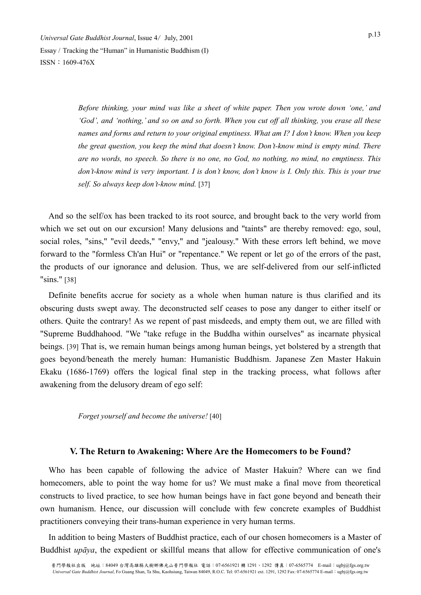> *Before thinking, your mind was like a sheet of white paper. Then you wrote down 'one,' and 'God', and 'nothing,' and so on and so forth. When you cut off all thinking, you erase all these names and forms and return to your original emptiness. What am I? I don't know. When you keep the great question, you keep the mind that doesn't know. Don't-know mind is empty mind. There are no words, no speech. So there is no one, no God, no nothing, no mind, no emptiness. This don't-know mind is very important. I is don't know, don't know is I. Only this. This is your true self. So always keep don't-know mind.* [37]

And so the self/ox has been tracked to its root source, and brought back to the very world from which we set out on our excursion! Many delusions and "taints" are thereby removed: ego, soul, social roles, "sins," "evil deeds," "envy," and "jealousy." With these errors left behind, we move forward to the "formless Ch'an Hui" or "repentance." We repent or let go of the errors of the past, the products of our ignorance and delusion. Thus, we are self-delivered from our self-inflicted "sins." [38]

Definite benefits accrue for society as a whole when human nature is thus clarified and its obscuring dusts swept away. The deconstructed self ceases to pose any danger to either itself or others. Quite the contrary! As we repent of past misdeeds, and empty them out, we are filled with "Supreme Buddhahood. "We "take refuge in the Buddha within ourselves" as incarnate physical beings. [39] That is, we remain human beings among human beings, yet bolstered by a strength that goes beyond/beneath the merely human: Humanistic Buddhism. Japanese Zen Master Hakuin Ekaku (1686-1769) offers the logical final step in the tracking process, what follows after awakening from the delusory dream of ego self:

*Forget yourself and become the universe!* [40]

## **V. The Return to Awakening: Where Are the Homecomers to be Found?**

Who has been capable of following the advice of Master Hakuin? Where can we find homecomers, able to point the way home for us? We must make a final move from theoretical constructs to lived practice, to see how human beings have in fact gone beyond and beneath their own humanism. Hence, our discussion will conclude with few concrete examples of Buddhist practitioners conveying their trans-human experience in very human terms.

In addition to being Masters of Buddhist practice, each of our chosen homecomers is a Master of Buddhist *upāya*, the expedient or skillful means that allow for effective communication of one's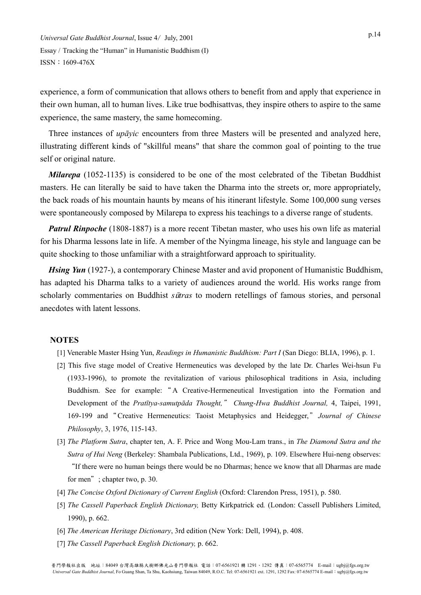experience, a form of communication that allows others to benefit from and apply that experience in their own human, all to human lives. Like true bodhisattvas, they inspire others to aspire to the same experience, the same mastery, the same homecoming.

Three instances of *upāyic* encounters from three Masters will be presented and analyzed here, illustrating different kinds of "skillful means" that share the common goal of pointing to the true self or original nature.

*Milarepa* (1052-1135) is considered to be one of the most celebrated of the Tibetan Buddhist masters. He can literally be said to have taken the Dharma into the streets or, more appropriately, the back roads of his mountain haunts by means of his itinerant lifestyle. Some 100,000 sung verses were spontaneously composed by Milarepa to express his teachings to a diverse range of students.

*Patrul Rinpoche* (1808-1887) is a more recent Tibetan master, who uses his own life as material for his Dharma lessons late in life. A member of the Nyingma lineage, his style and language can be quite shocking to those unfamiliar with a straightforward approach to spirituality.

*Hsing Yun* (1927-), a contemporary Chinese Master and avid proponent of Humanistic Buddhism, has adapted his Dharma talks to a variety of audiences around the world. His works range from scholarly commentaries on Buddhist *s*u*tras* to modern retellings of famous stories, and personal anecdotes with latent lessons.

#### **NOTES**

- [1] Venerable Master Hsing Yun, *Readings in Humanistic Buddhism: Part I* (San Diego: BLIA, 1996), p. 1.
- [2] This five stage model of Creative Hermeneutics was developed by the late Dr. Charles Wei-hsun Fu (1933-1996), to promote the revitalization of various philosophical traditions in Asia, including Buddhism. See for example: " A Creative-Hermeneutical Investigation into the Formation and Development of the *Pratītya-samutpāda Thought,*" *Chung-Hwa Buddhist Journal,* 4, Taipei, 1991, 169-199 and"Creative Hermeneutics: Taoist Metaphysics and Heidegger,"*Journal of Chinese Philosophy*, 3, 1976, 115-143.
- [3] *The Platform Sutra*, chapter ten, A. F. Price and Wong Mou-Lam trans., in *The Diamond Sutra and the Sutra of Hui Neng* (Berkeley: Shambala Publications, Ltd., 1969), p. 109. Elsewhere Hui-neng observes: "If there were no human beings there would be no Dharmas; hence we know that all Dharmas are made for men"; chapter two, p. 30.
- [4] *The Concise Oxford Dictionary of Current English* (Oxford: Clarendon Press, 1951), p. 580.
- [5] *The Cassell Paperback English Dictionary,* Betty Kirkpatrick ed*.* (London: Cassell Publishers Limited, 1990), p. 662.
- [6] *The American Heritage Dictionary*, 3rd edition (New York: Dell, 1994), p. 408.
- [7] *The Cassell Paperback English Dictionary,* p. 662.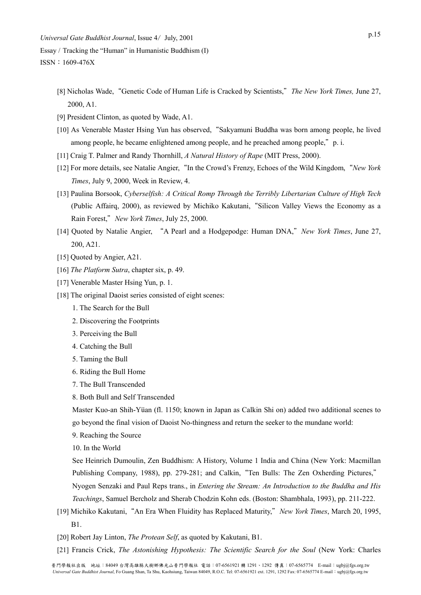- [8] Nicholas Wade,"Genetic Code of Human Life is Cracked by Scientists,"*The New York Times,* June 27, 2000, A1.
- [9] President Clinton, as quoted by Wade, A1.
- [10] As Venerable Master Hsing Yun has observed,"Sakyamuni Buddha was born among people, he lived among people, he became enlightened among people, and he preached among people," p. i.
- [11] Craig T. Palmer and Randy Thornhill, *A Natural History of Rape* (MIT Press, 2000).
- [12] For more details, see Natalie Angier,"In the Crowd's Frenzy, Echoes of the Wild Kingdom,"*New York Times*, July 9, 2000, Week in Review, 4.
- [13] Paulina Borsook, *Cyberselfish: A Critical Romp Through the Terribly Libertarian Culture of High Tech*  (Public Affairq, 2000), as reviewed by Michiko Kakutani,"Silicon Valley Views the Economy as a Rain Forest,"*New York Times*, July 25, 2000.
- [14] Quoted by Natalie Angier, "A Pearl and a Hodgepodge: Human DNA,"*New York Times*, June 27, 200, A21.
- [15] Quoted by Angier, A21.
- [16] *The Platform Sutra*, chapter six, p. 49.
- [17] Venerable Master Hsing Yun, p. 1.
- [18] The original Daoist series consisted of eight scenes:
	- 1. The Search for the Bull
	- 2. Discovering the Footprints
	- 3. Perceiving the Bull
	- 4. Catching the Bull
	- 5. Taming the Bull
	- 6. Riding the Bull Home
	- 7. The Bull Transcended
	- 8. Both Bull and Self Transcended

Master Kuo-an Shih-Yüan (fl. 1150; known in Japan as Calkin Shi on) added two additional scenes to go beyond the final vision of Daoist No-thingness and return the seeker to the mundane world:

- 9. Reaching the Source
- 10. In the World

See Heinrich Dumoulin, Zen Buddhism: A History, Volume 1 India and China (New York: Macmillan Publishing Company, 1988), pp. 279-281; and Calkin, "Ten Bulls: The Zen Oxherding Pictures," Nyogen Senzaki and Paul Reps trans., in *Entering the Stream: An Introduction to the Buddha and His Teachings*, Samuel Bercholz and Sherab Chodzin Kohn eds. (Boston: Shambhala, 1993), pp. 211-222.

- [19] Michiko Kakutani,"An Era When Fluidity has Replaced Maturity,"*New York Times*, March 20, 1995, B1.
- [20] Robert Jay Linton, *The Protean Self*, as quoted by Kakutani, B1.
- [21] Francis Crick, *The Astonishing Hypothesis: The Scientific Search for the Soul* (New York: Charles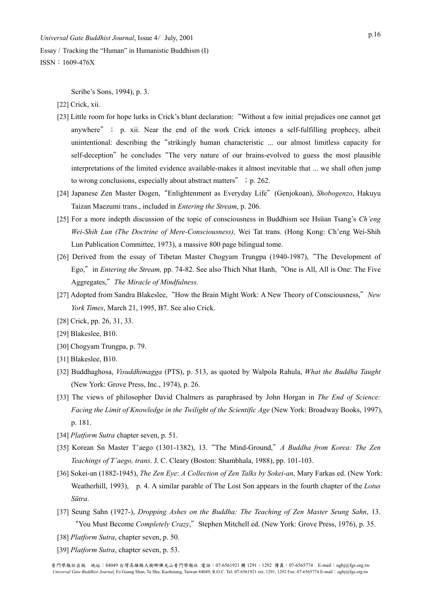Scribe's Sons, 1994), p. 3.

[22] Crick, xii.

- [23] Little room for hope lurks in Crick's blunt declaration:"Without a few initial prejudices one cannot get anywhere"; p. xii. Near the end of the work Crick intones a self-fulfilling prophecy, albeit unintentional: describing the"strikingly human characteristic ... our almost limitless capacity for self-deception" he concludes "The very nature of our brains-evolved to guess the most plausible interpretations of the limited evidence available-makes it almost inevitable that ... we shall often jump to wrong conclusions, especially about abstract matters"; p. 262.
- [24] Japanese Zen Master Dogen,"Enlightenment as Everyday Life"(Genjokoan), *Shobogenzo*, Hakuyu Taizan Maezumi trans., included in *Entering the Stream*, p. 206.
- [25] For a more indepth discussion of the topic of consciousness in Buddhism see Hsuan Tsang's *Ch'eng Wei-Shih Lun (The Doctrine of Mere-Consciousness),* Wei Tat trans. (Hong Kong: Ch'eng Wei-Shih Lun Publication Committee, 1973), a massive 800 page bilingual tome.
- [26] Derived from the essay of Tibetan Master Chogyam Trungpa (1940-1987), "The Development of Ego,"in *Entering the Stream,* pp. 74-82. See also Thich Nhat Hanh,"One is All, All is One: The Five Aggregates,"*The Miracle of Mindfulness.*
- [27] Adopted from Sandra Blakeslee,"How the Brain Might Work: A New Theory of Consciousness,"*New York Times*, March 21, 1995, B7. See also Crick.
- [28] Crick, pp. 26, 31, 33.
- [29] Blakeslee, B10.
- [30] Chogyam Trungpa, p. 79.
- [31] Blakeslee, B10.
- [32] Buddhaghosa, *Visuddhimagga* (PTS), p. 513, as quoted by Walpola Rahula, *What the Buddha Taught* (New York: Grove Press, Inc., 1974), p. 26.
- [33] The views of philosopher David Chalmers as paraphrased by John Horgan in *The End of Science: Facing the Limit of Knowledge in the Twilight of the Scientific Age* (New York: Broadway Books, 1997), p. 181.
- [34] *Platform Sutra* chapter seven, p. 51.
- [35] Korean Sn Master T'aego (1301-1382), 13."The Mind-Ground,"*A Buddha from Korea: The Zen Teachings of T'aego, trans*. J. C. Cleary (Boston: Shambhala, 1988), pp. 101-103.
- [36] Sokei-an (1882-1945), *The Zen Eye*: *A Collection of Zen Talks by Sokei-an*, Mary Farkas ed. (New York: Weatherhill, 1993), p. 4. A similar parable of The Lost Son appears in the fourth chapter of the *Lotus Sūtra*.
- [37] Seung Sahn (1927-), *Dropping Ashes on the Buddha: The Teaching of Zen Master Seung Sahn*, 13. "You Must Become *Completely Crazy*,"Stephen Mitchell ed. (New York: Grove Press, 1976), p. 35.
- [38] *Platform Sutra*, chapter seven, p. 50.
- [39] *Platform Sutra*, chapter seven, p. 53.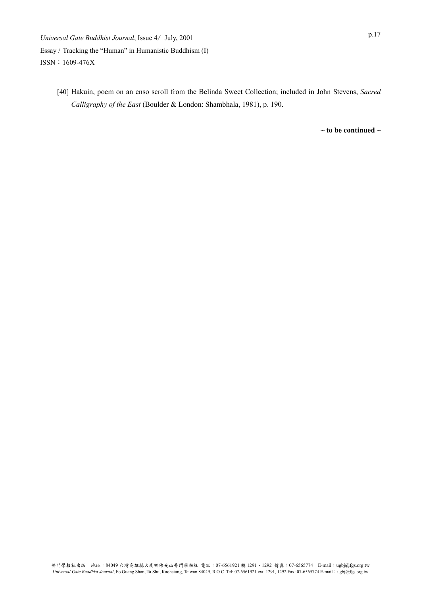> [40] Hakuin, poem on an enso scroll from the Belinda Sweet Collection; included in John Stevens, *Sacred Calligraphy of the East* (Boulder & London: Shambhala, 1981), p. 190.

> > **~ to be continued ~**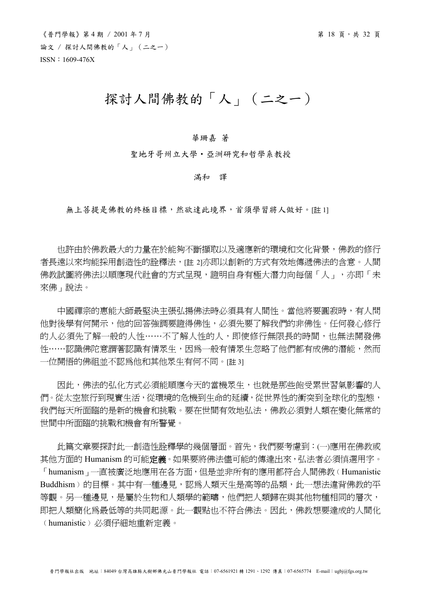# 探討人間佛教的「人」(二之一)

#### 華珊嘉 著

聖地牙哥州立大學‧亞洲研究和哲學系教授

#### 滿和 譯

無上菩提是佛教的終極目標,然欲達此境界,首須學習將人做好。[註1]

 也許由於佛教最大的力量在於能夠不斷擷取以及適應新的環境和文化背景,佛教的修行 者長遠以來均能採用創造性的詮釋法, [註 2]亦即以創新的方式有效地傳遞佛法的含意。人間 佛教試圖將佛法以順應現代社會的方式呈現,證明自身有極大潛力向每個「人」,亦即「未 來佛」說法。

中國禪宗的惠能大師最堅決主張弘揚佛法時必須具有人間性。當他將要圓寂時,有人問 他對後學有何開示,他的回答強調要證得佛性,必須先要了解我們的非佛性。任何發心修行 的人必須先了解一般的人性……不了解人性的人,即使修行無限長的時間,也無法開發佛 性……認識佛陀意謂著認識有情眾生,因為一般有情眾生忽略了他們都有成佛的潛能,然而 一位開悟的佛祖並不認為他和其他眾生有何不同。[註 3]

 因此,佛法的弘化方式必須能順應今天的當機眾生,也就是那些飽受累世習氣影響的人 們。從太空旅行到現實生活,從環境的危機到生命的延續,從世界性的衝突到全球化的型態, 我們每天所面臨的是新的機會和挑戰。要在世間有效地弘法,佛教必須對人類在變化無常的 世間中所面臨的挑戰和機會有所警覺。

 此篇文章要探討此一創造性詮釋學的幾個層面。首先,我們要考慮到:(一)應用在佛教或 其他方面的 Humanism 的可能**定義**。如果要將佛法儘可能的傳達出來,弘法者必須慎選用字。 「humanism」一直被廣泛地應用在各方面,但是並非所有的應用都符合人間佛教(Humanistic Buddhism)的目標。其中有一種邊見,認為人類天生是高等的品類,此一想法違背佛教的平 等觀。另一種邊見,是屬於生物和人類學的範疇,他們把人類歸在與其他物種相同的層次, 即把人類簡化為最低等的共同起源。此一觀點也不符合佛法。因此,佛教想要達成的人間化 ﹙humanistic﹚必須仔細地重新定義。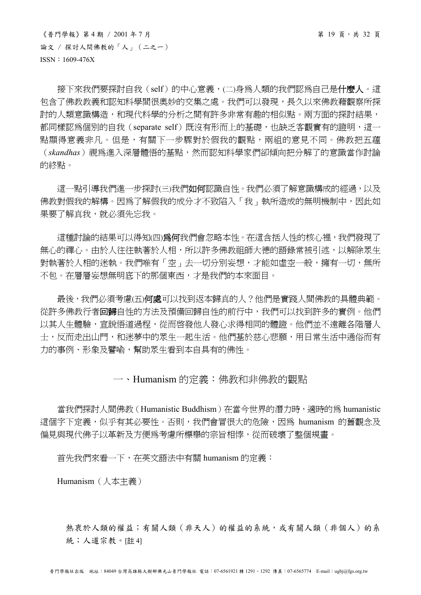$\langle$ 普門學報》第4期 / 2001年7月<br>
第19頁,共 32 頁 論文 / 探討人間佛教的「人」(二之一) ISSN:1609-476X

接下來我們要探討自我(self)的中心意義,(二)身為人類的我們認為自己是什麼人。這 **句含了佛教教義和認知科學間很奧妙的交集之處。我們可以發現,長久以來佛教藉觀察所探** 討的人類意識構造,和現代科學的分析之間有許多非常有趣的相似點。兩方面的探討結果, 都同樣認爲個別的自我 (separate self) 既沒有形而上的基礎,也缺乏客觀實有的證明,這一 點顯得意義非凡。但是,有關下一步驟對於假我的觀點,兩組的意見不同。佛教把五蘊 (*skandhas*)視為進入深層體悟的基點,然而認知科學家們卻傾向把分解了的意識當作討論 的終點。

這一點引導我們進一步探討(三)我們如何認識自性。我們必須了解意識構成的經過,以及 佛教對假我的解構。因為了解假我的成分才不致陷入「我」執所造成的無明機制中,因此如 果要了解真我,就必須先忘我。

這種討論的結果可以得知(四)為何我們會忽略本性。在這含括人性的核心裡,我們發現了 無心的禪心。由於人往往執著於人相,所以許多佛教祖師大德的語錄常被引述,以解除眾生 對執著於人相的迷執。我們唯有「空」去一切分別妄想,才能如虛空一般,擁有一切,無所 不包。在層層妄想無明底下的那個東西,才是我們的本來面目。

最後,我們必須考慮(五)何處可以找到返本歸真的人?他們是實踐人間佛教的具體典範。 從許多佛教行者回歸自性的方法及預備回歸自性的前行中,我們可以找到許多的實例。他們 以其人生體驗,宣說悟道過程,從而啓發他人發心求得相同的體證。他們並不遠離各階層人 士,反而走出山門,和迷夢中的眾生一起生活。他們基於慈心悲願,用日常生活中通俗而有 力的事例、形象及譬喻,幫助眾生看到本自具有的佛性。

## 一、Humanism 的定義:佛教和非佛教的觀點

當我們探討人間佛教 (Humanistic Buddhism) 在當今世界的潛力時,適時的為 humanistic 這個字下定義,似乎有其必要性。否則,我們會冒很大的危險,因為 humanism 的舊觀念及 偏見與現代佛子以革新及方便為考慮所標舉的宗旨相悖,從而破壞了整個規畫。

首先我們來看一下,在英文語法中有關 humanism 的定義:

Humanism(人本主義)

熱衷於人類的權益;有關人類(非天人)的權益的系統,或有關人類(非個人)的系 統;人道宗教。[註 4]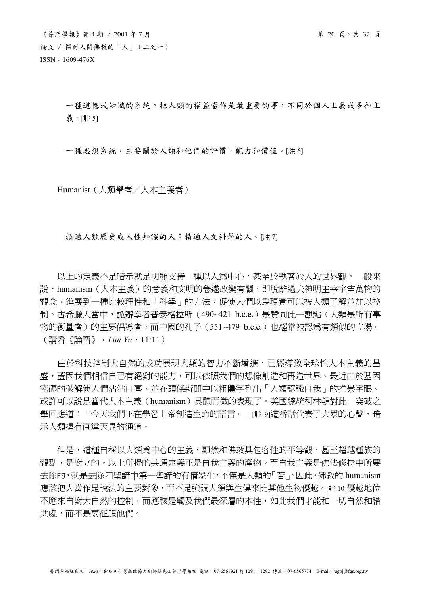一種道德或知識的系統,把人類的權益當作是最重要的事,不同於個人主義或多神主 義。[註 5]

一種思想系統,主要關於人類和他們的評價,能力和價值。[註 6]

Humanist(人類學者/人本主義者)

精通人類歷史或人性知識的人;精通人文科學的人。[註 7]

 以上的定義不是暗示就是明顯支持一種以人為中心,甚至於執著於人的世界觀。一般來 說,humanism(人本主義)的意義和文明的急遽改變有關,即脫離過去神明主宰宇宙萬物的 觀念,進展到一種比較理性和「科學」的方法,促使人們以為現實可以被人類了解並加以控 制。古希臘人當中,詭辯學者普泰格拉斯 (490~421 b.c.e.) 是贊同此一觀點 (人類是所有事 物的衡量者)的主要倡導者,而中國的孔子(551~479 b.c.e.)也經常被認為有類似的立場。 (請看《論語》,*Lun Yu*,11:11)

 由於科技控制大自然的成功展現人類的智力不斷增進,已經導致全球性人本主義的昌 盛,蓋因我們相信自己有絕對的能力,可以依照我們的想像創造和再造世界。最近由於基因 密碼的破解使人們沾沾自喜,並在頭條新聞中以粗體字列出「人類認識自我」的推崇字眼。 或許可以說是當代人本主義(humanism)具體而微的表現了。美國總統柯林頓對此一突破之 舉回應道:「今天我們正在學習上帝創造生命的語言。」[註 9]這番話代表了大眾的心聲,暗 示人類握有直達天界的通道。

 但是,這種自稱以人類為中心的主義,顯然和佛教具包容性的平等觀,甚至超越種族的 觀點,是對立的。以上所提的共通定義正是自我主義的產物。而自我主義是佛法修持中所要 去除的,就是去除四聖諦中第一聖諦的有情眾生,不僅是人類的「苦」。因此,佛教的 humanism 應該把人當作是說法的主要對象,而不是強調人類與生俱來比其他生物優越。[註 10]優越地位 不應來自對大自然的控制,而應該是觸及我們最深層的本性,如此我們才能和一切自然和諧 共處,而不是要征服他們。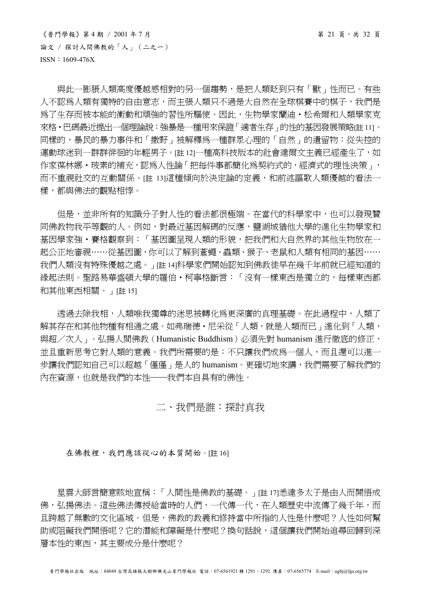$\langle$ 普門學報》第4期 / 2001年7月<br>
第21頁,共 32 頁 論文 / 探討人間佛教的「人」(二之一) ISSN:1609-476X

與此一膨脹人類高度優越感相對的另一個趨勢,是把人類貶到只有「獸」性而已。有些 人不認為人類有獨特的自由意志,而主張人類只不過是大自然在全球棋賽中的棋子,我們是 為了生存而被本能的衝動和頑強的習性所騙使。因此,生物學家蘭迪·松希爾和人類學家克 來格‧巴碼最近提出一個理論說:強暴是一種用來保證「適者生存」的性的基因發展策略[註 11]。 同樣的,暴民的暴力事件和「撒野」被解釋為一種群眾心理的「自然」的遺留物:從失控的 運動球迷到一群群徘徊的年輕男子。[註12]一種高科技版本的社會達爾文主義已經產生了,如 作家葆林娜·玻素的補充,認為人性論「把每件事都簡化為契約式的,經濟式的理性決策」, 而不重視社交的互動關係。[註 13]這種傾向於決定論的定義,和前述謳歌人類優越的看法一 樣,都與佛法的觀點相悖。

 但是,並非所有的知識分子對人性的看法都很極端。在當代的科學家中,也可以發現贊 同佛教物我平等觀的人。例如,對最近基因解碼的反應,鹽湖城猶他大學的進化生物學家和 基因學家強‧賽格觀察到:「基因圖呈現人類的形貌,把我們和大自然界的其他生物放在一 起公正地審視……從基因圖,你可以了解到蒼蠅、蟲類、猴子、老鼠和人類有相同的基因…… 我們人類沒有特殊優越之處。」[註 14]科學家們開始認知到佛教徒早在幾千年前就已經知道的 緣起法則。聖路易華盛頓大學的羅伯‧柯寧格斷言:「沒有一樣東西是獨立的,每樣東西都 和其他東西相關。」[註 15]

 透過去除我相,人類唯我獨尊的迷思被轉化為更深廣的真理基礎。在此過程中,人類了 解其存在和其他物種有相通之處。如弗瑞德·尼采從「人類,就是人類而已」進化到「人類, 與超/次人」。弘揚人間佛教(Humanistic Buddhism)必須先對 humanism 淮行徹底的修正, 並且重新思考它對人類的意義。我們所需要的是:不只讓我們成為一個人,而且還可以進一 步讓我們認知自己可以超越「僅僅」是人的 humanism。更確切地來講,我們需要了解我們的 內在資源,也就是我們的本性──我們本自具有的佛性。

## 二、我們是誰:探討真我

在佛教裡,我們應該從心的本質開始。[註16]

 星雲大師言簡意賅地宣稱:「人間性是佛教的基礎。」[註 17]悉達多太子是由人而開悟成 佛,弘揚佛法。這些佛法傳授給當時的人們,一代傳一代,在人類歷史中流傳了幾千年,而 且跨越了無數的文化區域。但是,佛教的教義和修持當中所指的人性是什麼呢?人性如何幫 助或阻礙我們開悟呢?它的潛能和障礙是什麼呢?換句話說,這個讓我們開始追尋回歸到深 層本性的東西,其主要成分是什麼呢?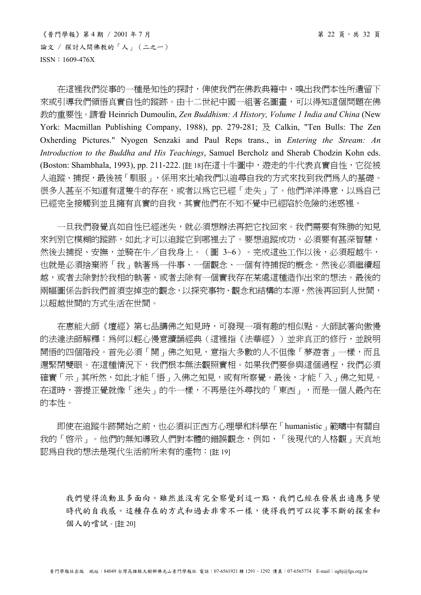$\langle$ 普門學報》第4期 / 2001年7月 第 22 頁,共 32 頁 論文 / 探討人間佛教的「人」(二之一) ISSN:1609-476X

在這裡我們從事的一種是知性的探討,俾使我們在佛教典籍中,嗅出我們本性所遺留下 來或引導我們領悟真實自性的蹤跡。由十二世紀中國一組著名圖書,可以得知這個問題在佛 教的重要性。請看 Heinrich Dumoulin, *Zen Buddhism: A History, Volume 1 India and China* (New York: Macmillan Publishing Company, 1988), pp. 279-281; 及 Calkin, "Ten Bulls: The Zen Oxherding Pictures." Nyogen Senzaki and Paul Reps trans., in *Entering the Stream: An Introduction to the Buddha and His Teachings*, Samuel Bercholz and Sherab Chodzin Kohn eds. (Boston: Shambhala, 1993), pp. 211-222. [註 18]在這十牛圖中,遊走的牛代表真實自性, 它從被 人追蹤、捕捉,最後被「馴服」,係用來比喻我們以追尋自我的方式來找到我們為人的基礎。 很多人甚至不知道有這隻牛的存在,或者以為它已經「走失」了。他們洋洋得意,以為自己 已經完全接觸到並且擁有真實的自我,其實他們在不知不覺中已經陷於危險的迷惑裡。

 一旦我們發覺真如自性已經迷失,就必須想辦法再把它找回來。我們需要有殊勝的知見 來判別它模糊的蹤跡,如此才可以追蹤它到哪裡去了。要想追蹤成功,必須要有甚深智慧, 然後去捕捉、安撫,並騎在牛/自我身上。(圖 3~6)。完成這些工作以後,必須超越牛, 也就是必須捨棄將「我」執著為一件事、一個觀念、一個有待捕捉的概念,然後必須繼續超 越,或者去除對於我相的執著,或者去除有一個實我存在某處這種造作出來的想法。最後的 兩幅圖係告訴我們首須空掉空的觀念,以探究事物、觀念和結構的本源,然後再回到人世間, 以超越世間的方式生活在世間。

 在惠能大師《壇經》第七品講佛之知見時,可發現一項有趣的相似點。大師試著向傲慢 的法達法師解釋:為何以輕心慢意讀誦經典(這裡指《法華經》)並非真正的修行,並說明 開悟的四個階段。首先必須「開」佛之知見,意指大多數的人不但像「夢遊者」一樣,而且 還緊閉雙眼。在這種情況下,我們根本無法觀照實相。如果我們要參與這個過程,我們必須 確實「示」其所然,如此才能「悟」入佛之知見,或有所察覺。最後,才能「入」佛之知見。 在這時,菩提正覺就像「迷失」的牛一樣,不再是往外尋找的「東西」,而是一個人最內在 的本性。

 即使在追蹤牛跡開始之前,也必須糾正西方心理學和科學在「humanistic」範疇中有關自 我的「啟示」。他們的無知導致人們對本體的錯誤觀念,例如,「後現代的人格觀」天真地 認爲自我的想法是現代生活前所未有的產物:[註 19]

我們變得流動且多面向。雖然並沒有完全察覺到這一點,我們已經在發展出適應多變 時代的自我感。這種存在的方式和過去非常不一樣,使得我們可以從事不斷的探索和 個人的嚐試。[註 20]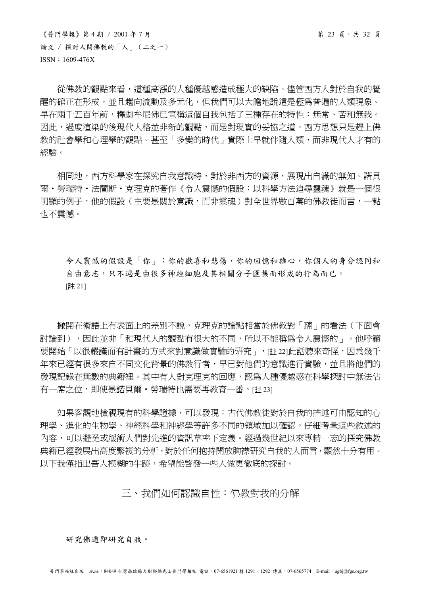$\langle$ 普門學報》第4期 / 2001年7月 第 23 頁,共 32 頁 論文 / 探討人間佛教的「人」(二之一) ISSN:1609-476X

從佛教的觀點來看,這種高漲的人種優越感造成極大的缺陷。儘管西方人對於自我的覺 醒的確正在形成,並且趨向流動及多元化,但我們可以大膽地說這是極為普遍的人類現象。 早在兩千五百年前,釋迦牟尼佛已宣稱這個自我包括了三種存在的特性:無常、苦和無我。 因此,過度渲染的後現代人格並非新的觀點,而是對現實的妥協之道。西方思想只是趕上佛 教的社會學和心理學的觀點。甚至「多變的時代」實際上早就伴隨人類,而非現代人才有的 經驗。

 相同地,西方科學家在探究自我意識時,對於非西方的資源,展現出自滿的無知。諾貝 爾・勞瑞特・法蘭斯・克理克的著作《令人震憾的假設:以科學方法追尋靈魂》就是一個很 明顯的例子,他的假設(主要是關於意識,而非靈魂)對全世界數百萬的佛教徒而言,一點 也不震憾。

令人震憾的假設是「你」:你的歡喜和悲傷,你的回憶和雄心,你個人的身分認同和 自由意志,只不過是由很多神經細胞及其相關分子匯集而形成的行為而已。 [註 21]

 撇開在術語上有表面上的差別不說,克理克的論點相當於佛教對「蘊」的看法(下面會 討論到),因此並非「和現代人的觀點有很大的不同,所以不能稱為令人震憾的」。他呼籲 要開始「以很嚴謹而有計畫的方式來對意識做實驗的研究」, [註 22]此話聽來奇怪,因為幾千 年來已經有很多來自不同文化背景的佛教行者,早已對他們的意識進行實驗,並且將他們的 發現記錄在無數的典籍裡。其中有人對克理克的回應,認為人種優越感在科學探討中無法佔 有一席之位,即使是諾貝爾·勞瑞特也需要再教育一番。[註 23]

 如果客觀地檢視現有的科學證據,可以發現:古代佛教徒對於自我的描述可由認知的心 理學、進化的生物學、神經科學和神經學等許多不同的領域加以確認。仔細考量這些敘述的 內容,可以避免或緩衝人們對先進的資訊草率下定義。經過幾世紀以來專精一志的探究佛教 典籍已經發展出高度繁複的分析,對於任何抱持開放胸襟研究自我的人而言,顯然十分有用。 以下我僅指出吾人模糊的牛跡,希望能啟發一些人做更徹底的探討。

三、我們如何認識自性:佛教對我的分解

研究佛道即研究自我。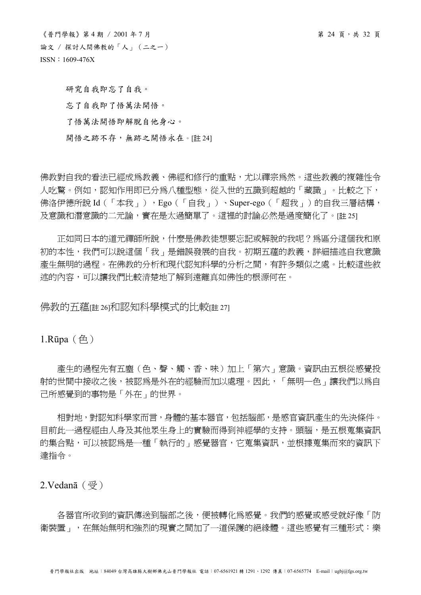$\langle$ 普門學報》第4期 / 2001年7月 第 24 頁,共 32 頁 論文 / 探討人間佛教的「人」(二之一) ISSN:1609-476X

研究自我即忘了自我。 忘了自我即了悟萬法開悟。 了悟萬法開悟即解脫自他身心。 開悟之跡不存,無跡之開悟永在。[註 24]

佛教對自我的看法已經成為教義、佛經和修行的重點,尤以禪宗為然。這些教義的複雜性令 人吃驚。例如,認知作用即已分為八種型態,從入世的五識到超越的「藏識」。比較之下, 佛洛伊德所說 Id (「本我」), Ego (「自我」)、Super-ego (「超我」)的自我三層結構, 及意識和潛意識的二元論,實在是太過簡單了。這裡的討論必然是過度簡化了。[註 25]

 正如同日本的道元禪師所說,什麼是佛教徒想要忘記或解脫的我呢?為區分這個我和原 初的本性,我們可以說這個「我」是錯誤發展的自我。初期五蘊的教義,詳細描述自我意識 產生無明的過程。在佛教的分析和現代認知科學的分析之間,有許多類似之處。比較這些敘 述的內容,可以讓我們比較清楚地了解到遠離真如佛性的根源何在。

佛教的五蘊[註 26]和認知科學模式的比較[註 27]

1.Rūpa $(\bigoplus)$ 

 產生的過程先有五塵(色、聲、觸、香、味)加上「第六」意識。資訊由五根從感覺投 射的世間中接收之後,被認為是外在的經驗而加以處理。因此,「無明—色」讓我們以為自 己所感覺到的事物是「外在」的世界。

 相對地,對認知科學家而言,身體的基本器官,包括腦部,是感官資訊產生的先決條件。 目前此一過程經由人身及其他眾生身上的實驗而得到神經學的支持。頭腦,是五根蒐集資訊 的集合點,可以被認爲是一種「執行的」感覺器官,它蒐集資訊,並根據蒐集而來的資訊下 達指令。

 $2.$ Vedanā (受)

 各器官所收到的資訊傳送到腦部之後,便被轉化為感覺。我們的感覺或感受就好像「防 衛裝置」,在無始無明和強烈的現實之間加了一道保護的絕緣體。這些感覺有三種形式:樂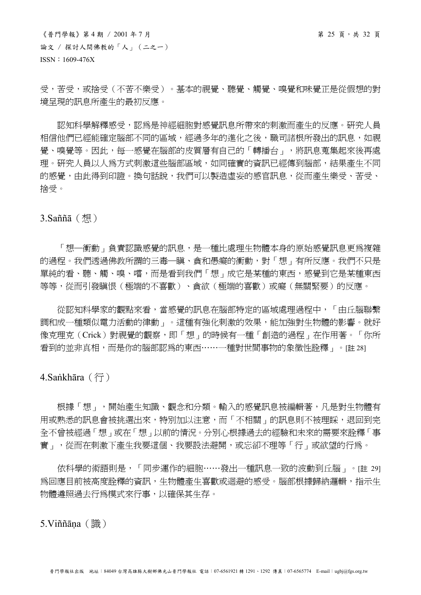$\langle$ 普門學報》第4期 / 2001年7月 第 25 頁,共 32 頁 論文 / 探討人間佛教的「人」(二之一) ISSN:1609-476X

受,苦受,或捨受(不苦不樂受)。基本的視覺、聽覺、觸覺、嗅覺和味覺正是從假想的對 境呈現的訊息所產生的最初反應。

 認知科學解釋感受,認為是神經細胞對感覺訊息所帶來的刺激而產生的反應。研究人員 相信他們已經能確定腦部不同的區域,經過多年的進化之後,職司諸根所發出的訊息,如視 覺、嗅覺等。因此,每一感覺在腦部的皮質層有自己的「轉播台」,將訊息蒐集起來後再處 理。研究人員以人爲方式刺激這些腦部區域,如同確實的資訊已經傳到腦部,結果產生不同 的感覺,由此得到印證。換句話說,我們可以製造虛妄的感官訊息,從而產生樂受、苦受、 捨受。

3.Saññā(想)

「想—衝動」負責認識感覺的訊息,是一種比處理生物體本身的原始感覺訊息更為複雜 的渦程。我們诱渦佛教所謂的三毒—瞋、貪和愚癡的衝動,對「想」有所反應。我們不只是 單純的看、聽、觸、嗅、嚐,而是看到我們「想」成它是某種的東西,感覺到它是某種東西 等等,從而引發瞋恨(極端的不喜歡)、貪欲(極端的喜歡)或癡(無關緊要)的反應。

 從認知科學家的觀點來看,當感覺的訊息在腦部特定的區域處理過程中,「由丘腦聯繫 調和成一種類似雷力活動的律動」。這種有強化刺激的效果,能加強對生物體的影響。就好 像克理克(Crick)對視覺的觀察,即「想」的時候有一種「創造的過程」在作用著。「你所 看到的並非真相,而是你的腦部認為的東西……一種對世間事物的象徵性詮釋」。[註 28]

4.Sankhāra  $(行)$ 

根據「想」,開始產生知識、觀念和分類。輸入的感覺訊息被編輯著,凡是對生物體有 用或熟悉的訊息會被挑選出來,特別加以注意,而「不相關」的訊息則不被理睬,退回到完 全不曾被經過「想」或在「想」以前的情況。分別心根據過去的經驗和未來的需要來詮釋「事 實」,從而在刺激下產生我要這個、我要設法避開,或忘卻不理等「行」或欲望的行為。

 依科學的術語則是,「同步運作的細胞……發出一種訊息一致的波動到丘腦」。[註 29] 為回應目前被高度詮釋的資訊,生物體產生喜歡或迴避的感受。腦部根據歸納邏輯,指示生 物體遵照過去行為模式來行事,以確保其生存。

5.Viññāna(識)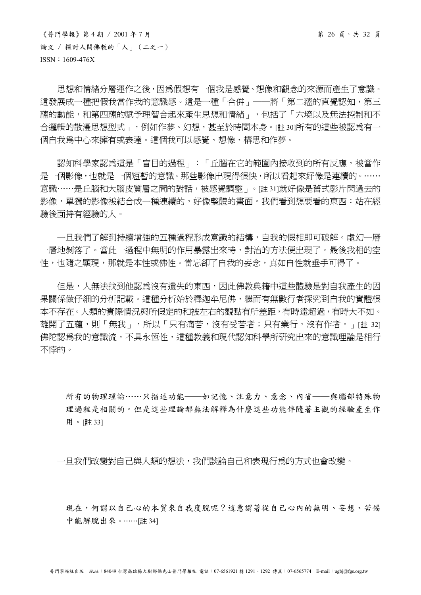$\langle$ 普門學報》第4期 / 2001年7月 第 26 頁,共 32 頁 論文 / 探討人間佛教的「人」(二之一) ISSN:1609-476X

 思想和情緒分層運作之後,因為假想有一個我是感覺、想像和觀念的來源而產生了意識。 這發展成一種把假我當作我的意識感。這是一種「合併」——將「第二蘊的直覺認知,第三 蘊的動能,和第四蘊的賦予理智合起來產生思想和情緒」,包括了「六境以及無法控制和不 合邏輯的散漫思想型式」,例如作夢、幻想,甚至於時間本身。[註 30]所有的這些被認為有一 個自我為中心來擁有或表達。這個我可以感覺、想像、構思和作夢。

 認知科學家認為這是「盲目的過程」:「丘腦在它的範圍內接收到的所有反應,被當作 是一個影像,也就是一個短暫的意識。那些影像出現得很快,所以看起來好像是連續的。…… 意識……是丘腦和大腦皮質層之間的對話,被感覺調整」。[註 31]就好像是舊式影片閃過去的 影像,單獨的影像被結合成一種連續的,好像整體的畫面。我們看到想要看的東西:站在經 驗後面持有經驗的人。

一日我們了解到持續增強的五種渦程形成意識的結構,自我的假相即可破解。虛幻一層 一層地剝落了。當此一過程中無明的作用暴露出來時,對治的方法便出現了。最後我相的空 性,也隨之顯現,那就是本性或佛性。當忘卻了自我的妄念,真如自性就垂手可得了。

但是,人無法找到他認為沒有遺失的東西,因此佛教典籍中這些體驗是對自我產生的因 果關係做仔細的分析記載。這種分析始於釋迦牟尼佛,繼而有無數行者探究到自我的實體根 本不存在。人類的實際情況與所假定的和被左右的觀點有所差距,有時遠超過,有時大不如。 離開了五蘊,則「無我」,所以「只有痛苦,沒有受苦者;只有業行,沒有作者。」[註 32] 佛陀認為我的意識流,不具永恆性,這種教義和現代認知科學所研究出來的意識理論是相行 不悖的。

所有的物理理論……只描述功能——如記憶、注意力、意念、內省——與腦部特殊物 理過程是相關的。但是這些理論都無法解釋為什麼這些功能伴隨著主觀的經驗產生作 用。[註 33]

一日我們改變對自己與人類的想法,我們談論自己和表現行為的方式也會改變。

現在,何謂以自己心的本質來自我度脫呢?這意謂著從自己心內的無明、妄想、苦惱 中能解脫出來。……[註 34]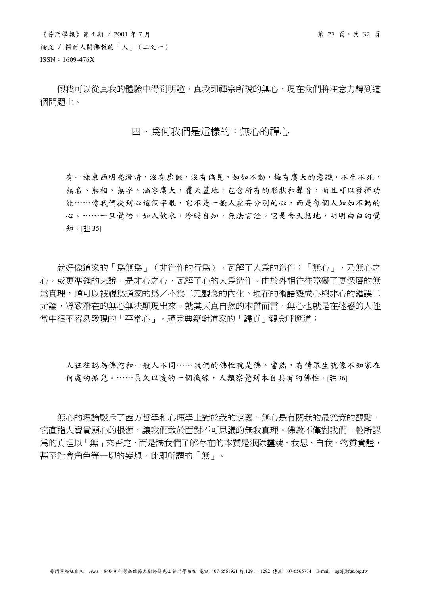$\langle$ 普門學報》第4期 / 2001年7月 第 27 頁,共 32 頁 論文 / 探討人間佛教的「人」(二之一) ISSN:1609-476X

假我可以從真我的體驗中得到明證。真我即禪宗所說的無心,現在我們將注意力轉到這 個問題上。

## 四、為何我們是這樣的:無心的禪心

有一樣東西明亮澄清,沒有虛假,沒有偏見,如如不動,擁有廣大的意識,不生不死, 無名、無相、無字。涵容廣大,覆天蓋地,包含所有的形狀和聲音,而且可以發揮功 能……當我們提到心這個字眼,它不是一般人虛妄分別的心,而是每個人如如不動的 心。……一旦覺悟,如人飲水,冷暖自知,無法言詮。它是含天括地,明明白白的覺 知。[註 35]

就好像道家的「為無為」(非造作的行為),瓦解了人為的造作;「無心」,乃無心之 心,或更準確的來說,是非心之心,瓦解了心的人為造作。由於外相往往障礙了更深層的無 為真理,禪可以被視為道家的為/不為二元觀念的內化。現在的術語變成心與非心的錯誤二 元論,導致潛在的無心無法顯現出來。就其天真自然的本質而言,無心也就是在迷惑的人性 當中很不容易發現的「平常心」。禪宗典籍對道家的「歸真」觀念呼應道:

人往往認為佛陀和一般人不同……我們的佛性就是佛。當然,有情眾生就像不知家在 何處的孤兒。……長久以後的一個機緣,人類察覺到本自具有的佛性。[註 36]

 無心的理論駁斥了西方哲學和心理學上對於我的定義。無心是有關我的最究竟的觀點, 它直指人寶貴願心的根源,讓我們敢於面對不可思議的無我真理。佛教不僅對我們一般所認 為的真理以「無」來否定,而是讓我們了解存在的本質是泯除靈魂、我思、自我、物質實體, 甚至社會角色等一切的妄想,此即所謂的「無」。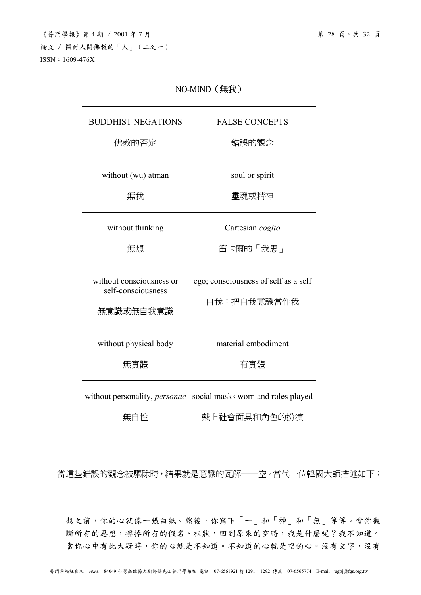## NO-MIND(無我)

| <b>BUDDHIST NEGATIONS</b>                                   | <b>FALSE CONCEPTS</b>                               |
|-------------------------------------------------------------|-----------------------------------------------------|
| 佛教的否定                                                       | 錯誤的觀念                                               |
| without (wu) ātman                                          | soul or spirit                                      |
| 無我                                                          | 靈魂或精神                                               |
| without thinking                                            | Cartesian cogito                                    |
| 無想                                                          | 笛卡爾的「我思」                                            |
| without consciousness or<br>self-consciousness<br>無意識或無自我意識 | ego; consciousness of self as a self<br>自我;把自我意識當作我 |
| without physical body                                       | material embodiment                                 |
| 無實體                                                         | 有實體                                                 |
| without personality, <i>personae</i>                        | social masks worn and roles played                  |
| 無自性                                                         | 戴上社會面具和角色的扮演                                        |

當這些錯誤的觀念被驅除時,結果就是意識的瓦解——空。當代一位韓國大師描述如下:

想之前,你的心就像一張白紙。然後,你寫下「一」和「神」和「無」等等。當你截 斷所有的思想,擦掉所有的假名、相狀,回到原來的空時,我是什麼呢?我不知道。 當你心中有此大疑時,你的心就是不知道。不知道的心就是空的心。沒有文字,沒有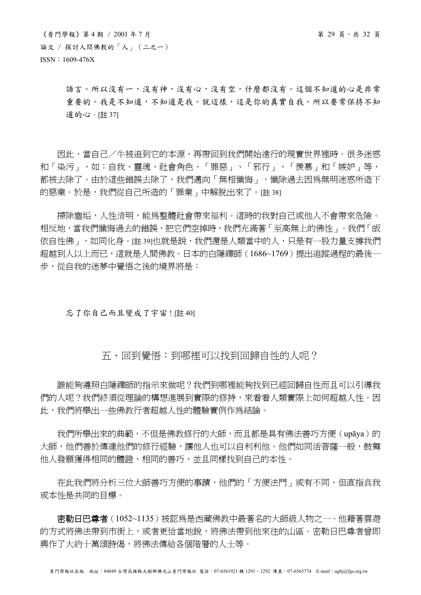語言。所以沒有一,沒有神,沒有心,沒有空,什麼都沒有。這個不知道的心是非常 重要的。我是不知道,不知道是我。就這樣,這是你的真實自我。所以要常保持不知 道的心。[註 37]

 因此,當自己/牛被追到它的本源,再帶回到我們開始遠行的現實世界裡時。很多迷惑 和「染污」,如:自我、靈魂、社會角色、「罪惡」、「邪行」、「羨慕」和「嫉妒」等, 都被去除了。由於這些錯誤去除了,我們邁向「無相懺悔」,懺除過去因為無明迷惑所造下 的惡業。於是,我們從自己所造的「罪業」中解脫出來了。[註 38]

 掃除塵垢,人性清明,能為整體社會帶來福利。這時的我對自己或他人不會帶來危險。 相反地,當我們懺悔過去的錯誤,把它們空掉時,我們充滿著「至高無上的佛性」。我們「皈 依自性佛」,如同化身。[註 39]也就是說,我們還是人類當中的人,只是有一股力量支撐我們 超越到人以上而已,這就是人間佛教。日本的白隱禪師(1686~1769)提出追蹤過程的最後一 步,從自我的迷夢中覺悟之後的境界將是:

忘了你自己而且變成了宇宙![註 40]

## 五、回到覺悟:到哪裡可以找到回歸自性的人呢?

 誰能夠遵照白隱禪師的指示來做呢?我們到哪裡能夠找到已經回歸自性而且可以引導我 們的人呢?我們終須從理論的構想進展到實際的修持,來看看人類實際上如何超越人性。因 此,我們將舉出一些佛教行者超越人性的體驗實例作為結論。

 我們所舉出來的典範,不但是佛教修行的大師,而且都是具有佛法善巧方便(upāya)的 大師,他們善於傳達他們的修行經驗,讓他人也可以自利利他。他們如同活菩薩一般,鼓舞 他人發願獲得相同的體證,相同的善巧,並且同樣找到自己的本性。

在此我們將分析三位大師善巧方便的事蹟,他們的「方便法門」或有不同,但直指真我 或本性是共同的目標。

 密勒日巴尊者(1052~1135)被認為是西藏佛教中最著名的大師級人物之一。他藉著雲遊 的方式將佛法帶到市街上,或者更恰當地說,將佛法帶到他來往的山區。密勒日巴尊者曾即 興作了大約十萬頌詩偈,將佛法傳給各個階層的人士等。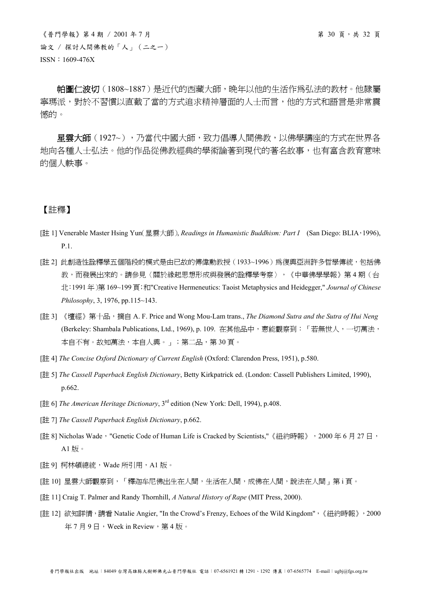$\langle$  普門學報》第4期 / 2001年7月 第 30 頁, 共 32 頁 論文 / 探討人間佛教的「人」(二之一) ISSN:1609-476X

帕圖仁波切(1808~1887)是近代的西藏大師,晚年以他的生活作為弘法的教材。他隸屬 寧瑪派,對於不習慣以直截了當的方式追求精神層面的人士而言,他的方式和語言是非常震 憾的。

 星雲大師(1927~),乃當代中國大師,致力倡導人間佛教,以佛學講座的方式在世界各 地向各種人士弘法。他的作品從佛教經典的學術論著到現代的著名故事,也有富含教育意味 的個人軼事。

## 【註釋】

- [註 1] Venerable Master Hsing Yun(星雲大師), *Readings in Humanistic Buddhism: Part I* (San Diego: BLIA,1996), P.1.
- [註 2] 此創浩性詮釋學五個階段的模式是由已故的傅偉動教授 (1933~1996) 為復興亞洲許多哲學傳統, 包括佛 教,而發展出來的。請參見〈關於緣起思想形成與發展的詮釋學考察〉,《中華佛學學報》第 4 期(台 北:1991 年)第 169~199 頁;和"Creative Hermeneutics: Taoist Metaphysics and Heidegger," *Journal of Chinese Philosophy*, 3, 1976, pp.115~143.
- [註 3] 《壇經》第十品, 摘自 A. F. Price and Wong Mou-Lam trans., *The Diamond Sutra and the Sutra of Hui Neng* (Berkeley: Shambala Publications, Ltd., 1969), p. 109. 在其他品中,惠能觀察到:「若無世人,一切萬法, 本自不有。故知萬法,本自人興。」;第二品,第 30 頁。
- [註 4] *The Concise Oxford Dictionary of Current English* (Oxford: Clarendon Press, 1951), p.580.
- [註 5] *The Cassell Paperback English Dictionary*, Betty Kirkpatrick ed. (London: Cassell Publishers Limited, 1990), p.662.
- [註 6] *The American Heritage Dictionary*, 3rd edition (New York: Dell, 1994), p.408.
- [註 7] *The Cassell Paperback English Dictionary*, p.662.
- [註 8] Nicholas Wade, "Genetic Code of Human Life is Cracked by Scientists,"《紐約時報》, 2000年6月27日, A1 版。
- [註 9] 柯林頓總統, Wade 所引用, A1 版。
- [註 10] 星雲大師觀察到,「釋迦牟尼佛出生在人間,生活在人間,成佛在人間,說法在人間」第 i 頁。
- [註 11] Craig T. Palmer and Randy Thornhill, *A Natural History of Rape* (MIT Press, 2000).
- [註 12] 欲知詳情,請看 Natalie Angier, "In the Crowd's Frenzy, Echoes of the Wild Kingdom", 《紐約時報》, 2000 年7月9日, Week in Review, 第4版。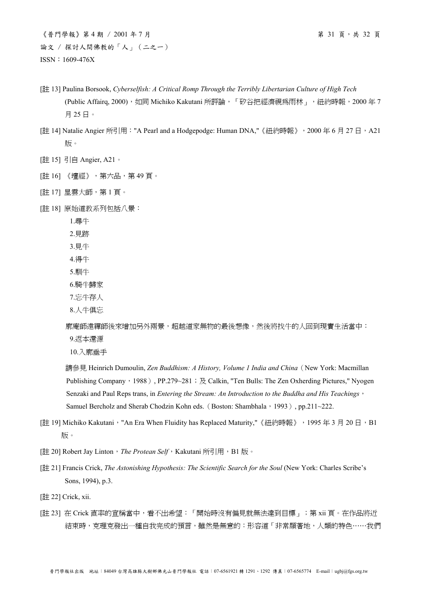- [註 13] Paulina Borsook, *Cyberselfish: A Critical Romp Through the Terribly Libertarian Culture of High Tech* (Public Affairq, 2000), 如同 Michiko Kakutani 所評論, 「矽谷把經濟視爲雨林」, 紐約時報, 2000年7 月 25 日。
- [註 14] Natalie Angier 所引用: "A Pearl and a Hodgepodge: Human DNA,"《紐約時報》, 2000年6月27日, A21 版。
- [註 15] 引自 Angier, A21。
- [註 16] 《壇經》,第六品,第 49 頁。
- [註 17] 星雲大師,第1頁。
- [註 18] 原始道教系列包括八景:
	- 1.尋牛
	- 2.見跡
	- 3.見牛
	- 4.得牛
	- 5.馴牛
	- 6.騎牛歸家
	- 7.忘牛存人
	- 8.人牛俱忘

廓庵師遠禪師後來增加另外兩景,超越道家無物的最後想像,然後將找牛的人回到現實生活當中:

- 9.返本還源
- 10.入廓垂手

請參見 Heinrich Dumoulin, *Zen Buddhism: A History, Volume 1 India and China*(New York: Macmillan Publishing Company, 1988), PP.279~281; 及 Calkin, "Ten Bulls: The Zen Oxherding Pictures," Nyogen Senzaki and Paul Reps trans, in *Entering the Stream: An Introduction to the Buddha and His Teachings*, Samuel Bercholz and Sherab Chodzin Kohn eds. (Boston: Shambhala, 1993), pp.211~222.

- [註 19] Michiko Kakutani, "An Era When Fluidity has Replaced Maturity,"《紐約時報》, 1995年3月20日, B1 版。
- [註 20] Robert Jay Linton, The Protean Self, Kakutani 所引用, B1 版。
- [ $\ddagger$ ] 21] Francis Crick, *The Astonishing Hypothesis: The Scientific Search for the Soul* (New York: Charles Scribe's Sons, 1994), p.3.
- [註 22] Crick, xii.
- [註 23] 在 Crick 直率的宣稱當中,看不出希望:「開始時沒有偏見就無法達到目標」;第 xii 頁。在作品將近 結束時,克理克發出一種自我完成的預言,雖然是無意的:形容道「非常顯著地,人類的特色……我們